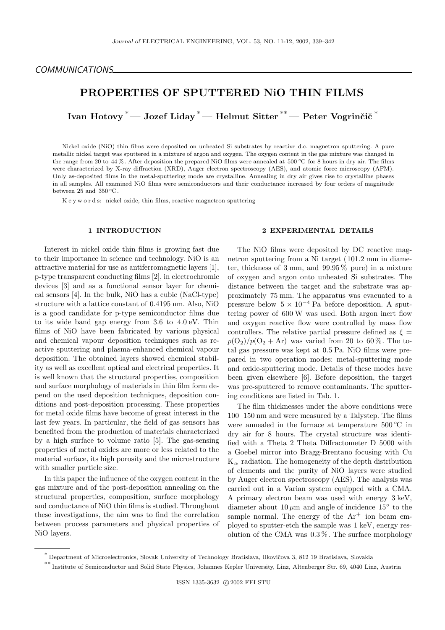# PROPERTIES OF SPUTTERED NiO THIN FILMS

Ivan Hotovy <sup>\*</sup> — Jozef Liday <sup>\*</sup> — Helmut Sitter <sup>\*\*</sup> — Peter Vogrinčič <sup>\*</sup>

Nickel oxide (NiO) thin films were deposited on unheated Si substrates by reactive d.c. magnetron sputtering. A pure metallic nickel target was sputtered in a mixture of argon and oxygen. The oxygen content in the gas mixture was changed in the range from 20 to 44%. After deposition the prepared NiO films were annealed at 500 °C for 8 hours in dry air. The films were characterized by X-ray diffraction (XRD), Auger electron spectroscopy (AES), and atomic force microscopy (AFM). Only as-deposited films in the metal-sputtering mode are crystalline. Annealing in dry air gives rise to crystalline phases in all samples. All examined NiO films were semiconductors and their conductance increased by four orders of magnitude between 25 and 350 $\,^{\circ}\text{C}$ .

K e y w o r d s: nickel oxide, thin films, reactive magnetron sputtering

### 1 INTRODUCTION

Interest in nickel oxide thin films is growing fast due to their importance in science and technology. NiO is an attractive material for use as antiferromagnetic layers [1], p-type transparent conducting films [2], in electrochromic devices [3] and as a functional sensor layer for chemical sensors [4]. In the bulk, NiO has a cubic (NaCl-type) structure with a lattice constant of 0.4195 nm. Also, NiO is a good candidate for p-type semiconductor films due to its wide band gap energy from 3.6 to 4.0 eV. Thin films of NiO have been fabricated by various physical and chemical vapour deposition techniques such as reactive sputtering and plasma-enhanced chemical vapour deposition. The obtained layers showed chemical stability as well as excellent optical and electrical properties. It is well known that the structural properties, composition and surface morphology of materials in thin film form depend on the used deposition techniques, deposition conditions and post-deposition processing. These properties for metal oxide films have become of great interest in the last few years. In particular, the field of gas sensors has benefited from the production of materials characterized by a high surface to volume ratio [5]. The gas-sensing properties of metal oxides are more or less related to the material surface, its high porosity and the microstructure with smaller particle size.

In this paper the influence of the oxygen content in the gas mixture and of the post-deposition annealing on the structural properties, composition, surface morphology and conductance of NiO thin films is studied. Throughout these investigations, the aim was to find the correlation between process parameters and physical properties of NiO layers.

# 2 EXPERIMENTAL DETAILS

The NiO films were deposited by DC reactive magnetron sputtering from a Ni target (101.2 mm in diameter, thickness of 3 mm, and  $99.95\%$  pure) in a mixture of oxygen and argon onto unheated Si substrates. The distance between the target and the substrate was approximately 75 mm. The apparatus was evacuated to a pressure below  $5 \times 10^{-4}$  Pa before deposition. A sputtering power of 600 W was used. Both argon inert flow and oxygen reactive flow were controlled by mass flow controllers. The relative partial pressure defined as  $\xi =$  $p(O_2)/p(O_2 + Ar)$  was varied from 20 to 60%. The total gas pressure was kept at 0.5 Pa. NiO films were prepared in two operation modes: metal-sputtering mode and oxide-sputtering mode. Details of these modes have been given elsewhere [6]. Before deposition, the target was pre-sputtered to remove contaminants. The sputtering conditions are listed in Tab. 1.

The film thicknesses under the above conditions were 100–150 nm and were measured by a Talystep. The films were annealed in the furnace at temperature  $500 °C$  in dry air for 8 hours. The crystal structure was identified with a Theta 2 Theta Diffractometer D 5000 with a Goebel mirror into Bragg-Brentano focusing with Cu  $K_{\alpha}$  radiation. The homogeneity of the depth distribution of elements and the purity of NiO layers were studied by Auger electron spectroscopy (AES). The analysis was carried out in a Varian system equipped with a CMA. A primary electron beam was used with energy 3 keV, diameter about  $10 \mu m$  and angle of incidence  $15^{\circ}$  to the sample normal. The energy of the  $Ar^+$  ion beam employed to sputter-etch the sample was 1 keV, energy resolution of the CMA was 0.3 %. The surface morphology

<sup>\*&</sup>lt;br>Department of Microelectronics, Slovak University of Technology Bratislava, Ilkovičova 3, 812 19 Bratislava, Slovakia

<sup>∗∗</sup> Institute of Semiconductor and Solid State Physics, Johannes Kepler University, Linz, Altenberger Str. 69, 4040 Linz, Austria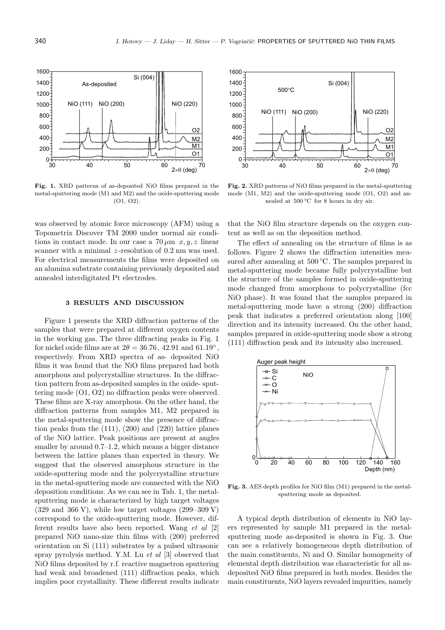

Fig. 1. XRD patterns of as-deposited NiO films prepared in the metal-sputtering mode (M1 and M2) and the oxide-sputtering mode (O1, O2).

was observed by atomic force microscopy (AFM) using a Topometrix Discover TM 2000 under normal air conditions in contact mode. In our case a  $70 \,\mu \text{m}$  x, y, z linear scanner with a minimal  $z$ -resolution of 0.2 nm was used. For electrical measurements the films were deposited on an alumina substrate containing previously deposited and annealed interdigitated Pt electrodes.

# 3 RESULTS AND DISCUSSION

Figure 1 presents the XRD diffraction patterns of the samples that were prepared at different oxygen contents in the working gas. The three diffracting peaks in Fig. 1 for nickel oxide films are at  $2\theta = 36.76, 42.91$  and  $61.19^{\circ}$ , respectively. From XRD spectra of as- deposited NiO films it was found that the NiO films prepared had both amorphous and polycrystalline structures. In the diffraction pattern from as-deposited samples in the oxide- sputtering mode (O1, O2) no diffraction peaks were observed. These films are X-ray amorphous. On the other hand, the diffraction patterns from samples M1, M2 prepared in the metal-sputtering mode show the presence of diffraction peaks from the (111), (200) and (220) lattice planes of the NiO lattice. Peak positions are present at angles smaller by around  $0.7-1.2$ , which means a bigger distance between the lattice planes than expected in theory. We suggest that the observed amorphous structure in the oxide-sputtering mode and the polycrystalline structure in the metal-sputtering mode are connected with the NiO deposition conditions. As we can see in Tab. 1, the metalsputtering mode is characterized by high target voltages  $(329 \text{ and } 366 \text{ V})$ , while low target voltages  $(299-309 \text{ V})$ correspond to the oxide-sputtering mode. However, different results have also been reported. Wang et al [2] prepared NiO nano-size thin films with (200) preferred orientation on Si (111) substrates by a pulsed ultrasonic spray pyrolysis method. Y.M. Lu et al [3] observed that NiO films deposited by r.f. reactive magnetron sputtering had weak and broadened (111) diffraction peaks, which implies poor crystallinity. These different results indicate



Fig. 2. XRD patterns of NiO films prepared in the metal-sputtering mode (M1, M2) and the oxide-sputtering mode (O1, O2) and annealed at 500 ℃ for 8 hours in dry air.

that the NiO film structure depends on the oxygen content as well as on the deposition method.

The effect of annealing on the structure of films is as follows. Figure 2 shows the diffraction intensities measured after annealing at  $500 \, \text{°C}$ . The samples prepared in metal-sputtering mode became fully polycrystalline but the structure of the samples formed in oxide-sputtering mode changed from amorphous to polycrystalline (fcc NiO phase). It was found that the samples prepared in metal-sputtering mode have a strong (200) diffraction peak that indicates a preferred orientation along [100] direction and its intensity increased. On the other hand, samples prepared in oxide-sputtering mode show a strong (111) diffraction peak and its intensity also increased.



Fig. 3. AES depth profiles for NiO film (M1) prepared in the metalsputtering mode as deposited.

A typical depth distribution of elements in NiO layers represented by sample M1 prepared in the metalsputtering mode as-deposited is shown in Fig. 3. One can see a relatively homogeneous depth distribution of the main constituents, Ni and O. Similar homogeneity of elemental depth distribution was characteristic for all asdeposited NiO films prepared in both modes. Besides the main constituents, NiO layers revealed impurities, namely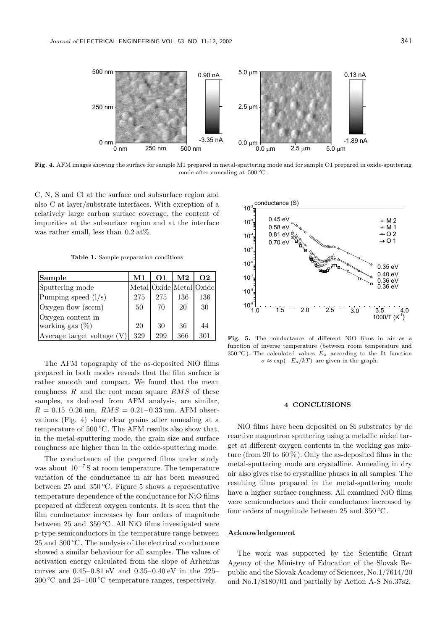500 nm and 0.90 nA -3.35 nA 250 nm  $0 \text{ nm}$ 0 nm 500 nm  $5.0 \mu m$  $2.5 \mu m$  $0.0 \mu m +$ <br>0.0  $\mu m$  $2.5 \text{ µm}$  5.0  $\text{µm}$ -1.89 nA 0.13 nA 250 nm

Fig. 4. AFM images showing the surface for sample M1 prepared in metal-sputtering mode and for sample O1 prepared in oxide-sputtering mode after annealing at 500 ◦C .

C, N, S and Cl at the surface and subsurface region and also C at layer/substrate interfaces. With exception of a relatively large carbon surface coverage, the content of impurities at the subsurface region and at the interface was rather small, less than  $0.2 \text{ at}\%$ .

Table 1. Sample preparation conditions

| Sample                     | M1  | <b>O1</b> | $\bf M2$ | $\Omega$                |
|----------------------------|-----|-----------|----------|-------------------------|
| Sputtering mode            |     |           |          | Metal Oxide Metal Oxide |
| Pumping speed $(l/s)$      | 275 | 275       | 136      | 136                     |
| Oxygen flow (sccm)         | 50  | 70        | 20       | 30                      |
| Oxygen content in          |     |           |          |                         |
| working gas $(\%)$         | 20  | 30        | 36       | 44                      |
| Average target voltage (V) | 329 | 299       | 366      | 301                     |

The AFM topography of the as-deposited NiO films prepared in both modes reveals that the film surface is rather smooth and compact. We found that the mean roughness  $R$  and the root mean square  $RMS$  of these samples, as deduced from AFM analysis, are similar,  $R = 0.15$  0.26 nm,  $RMS = 0.21 - 0.33$  nm. AFM observations (Fig. 4) show clear grains after annealing at a temperature of  $500 °C$ . The AFM results also show that, in the metal-sputtering mode, the grain size and surface roughness are higher than in the oxide-sputtering mode.

The conductance of the prepared films under study was about  $10^{-7}$ S at room temperature. The temperature variation of the conductance in air has been measured between 25 and 350  $°C$ . Figure 5 shows a representative temperature dependence of the conductance for NiO films prepared at different oxygen contents. It is seen that the film conductance increases by four orders of magnitude between 25 and 350  $°C$ . All NiO films investigated were p-type semiconductors in the temperature range between 25 and 300 ℃. The analysis of the electrical conductance showed a similar behaviour for all samples. The values of activation energy calculated from the slope of Arhenius curves are 0.45–0.81 eV and 0.35–0.40 eV in the 225– 300 °C and 25–100 °C temperature ranges, respectively.



Fig. 5. The conductance of different NiO films in air as a function of inverse temperature (between room temperature and 350 °C). The calculated values  $E_a$  according to the fit function  $\sigma \approx \exp(-E_a/kT)$  are given in the graph.

# 4 CONCLUSIONS

NiO films have been deposited on Si substrates by dc reactive magnetron sputtering using a metallic nickel target at different oxygen contents in the working gas mixture (from 20 to  $60\%$ ). Only the as-deposited films in the metal-sputtering mode are crystalline. Annealing in dry air also gives rise to crystalline phases in all samples. The resulting films prepared in the metal-sputtering mode have a higher surface roughness. All examined NiO films were semiconductors and their conductance increased by four orders of magnitude between 25 and 350  $°C$ .

### Acknowledgement

The work was supported by the Scientific Grant Agency of the Ministry of Education of the Slovak Republic and the Slovak Academy of Sciences, No.1/7614/20 and No.1/8180/01 and partially by Action A-S No.37s2.